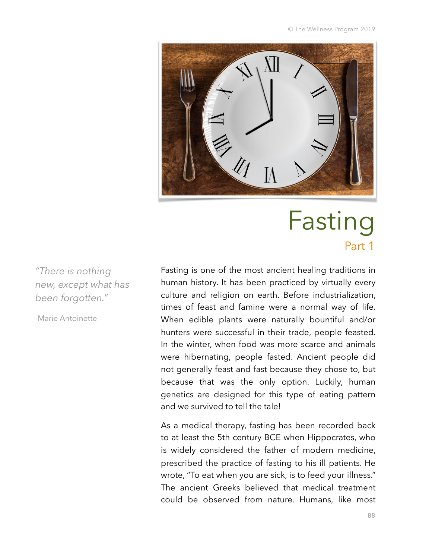© The Wellness Program 2019



# Fasting Part 1

*"There is nothing new, except what has been forgotten."* 

-Marie Antoinette

Fasting is one of the most ancient healing traditions in human history. It has been practiced by virtually every culture and religion on earth. Before industrialization, times of feast and famine were a normal way of life. When edible plants were naturally bountiful and/or hunters were successful in their trade, people feasted. In the winter, when food was more scarce and animals were hibernating, people fasted. Ancient people did not generally feast and fast because they chose to, but because that was the only option. Luckily, human genetics are designed for this type of eating pattern and we survived to tell the tale!

As a medical therapy, fasting has been recorded back to at least the 5th century BCE when Hippocrates, who is widely considered the father of modern medicine, prescribed the practice of fasting to his ill patients. He wrote, "To eat when you are sick, is to feed your illness." The ancient Greeks believed that medical treatment could be observed from nature. Humans, like most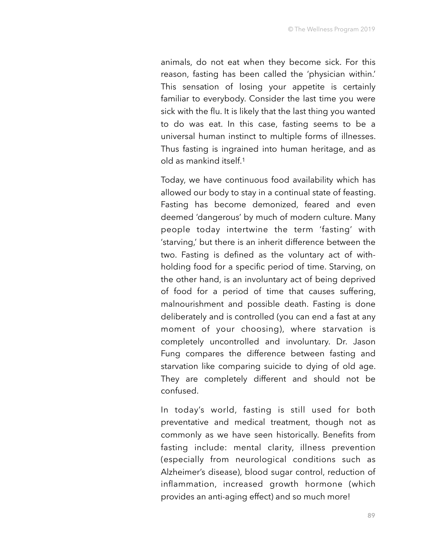animals, do not eat when they become sick. For this reason, fasting has been called the 'physician within.' This sensation of losing your appetite is certainly familiar to everybody. Consider the last time you were sick with the flu. It is likely that the last thing you wanted to do was eat. In this case, fasting seems to be a universal human instinct to multiple forms of illnesses. Thus fasting is ingrained into human heritage, and as old as mankind itself.1

Today, we have continuous food availability which has allowed our body to stay in a continual state of feasting. Fasting has become demonized, feared and even deemed 'dangerous' by much of modern culture. Many people today intertwine the term 'fasting' with 'starving,' but there is an inherit difference between the two. Fasting is defined as the voluntary act of withholding food for a specific period of time. Starving, on the other hand, is an involuntary act of being deprived of food for a period of time that causes suffering, malnourishment and possible death. Fasting is done deliberately and is controlled (you can end a fast at any moment of your choosing), where starvation is completely uncontrolled and involuntary. Dr. Jason Fung compares the difference between fasting and starvation like comparing suicide to dying of old age. They are completely different and should not be confused.

In today's world, fasting is still used for both preventative and medical treatment, though not as commonly as we have seen historically. Benefits from fasting include: mental clarity, illness prevention (especially from neurological conditions such as Alzheimer's disease), blood sugar control, reduction of inflammation, increased growth hormone (which provides an anti-aging effect) and so much more!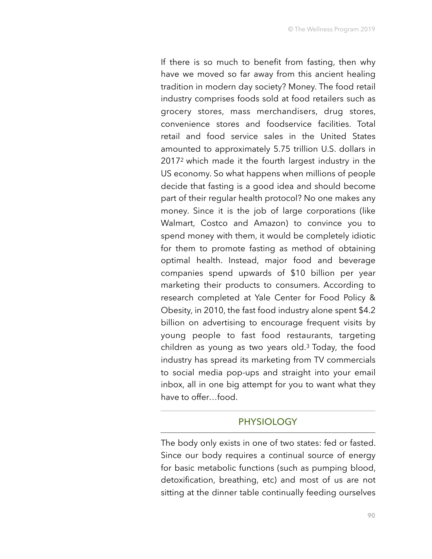If there is so much to benefit from fasting, then why have we moved so far away from this ancient healing tradition in modern day society? Money. The food retail industry comprises foods sold at food retailers such as grocery stores, mass merchandisers, drug stores, convenience stores and foodservice facilities. Total retail and food service sales in the United States amounted to approximately 5.75 trillion U.S. dollars in 20172 which made it the fourth largest industry in the US economy. So what happens when millions of people decide that fasting is a good idea and should become part of their regular health protocol? No one makes any money. Since it is the job of large corporations (like Walmart, Costco and Amazon) to convince you to spend money with them, it would be completely idiotic for them to promote fasting as method of obtaining optimal health. Instead, major food and beverage companies spend upwards of \$10 billion per year marketing their products to consumers. According to research completed at Yale Center for Food Policy & Obesity, in 2010, the fast food industry alone spent \$4.2 billion on advertising to encourage frequent visits by young people to fast food restaurants, targeting children as young as two years old. $3$  Today, the food industry has spread its marketing from TV commercials to social media pop-ups and straight into your email inbox, all in one big attempt for you to want what they have to offer…food.

#### **PHYSIOLOGY**

The body only exists in one of two states: fed or fasted. Since our body requires a continual source of energy for basic metabolic functions (such as pumping blood, detoxification, breathing, etc) and most of us are not sitting at the dinner table continually feeding ourselves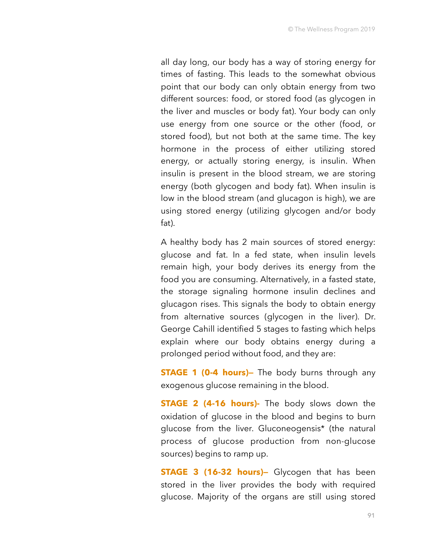all day long, our body has a way of storing energy for times of fasting. This leads to the somewhat obvious point that our body can only obtain energy from two different sources: food, or stored food (as glycogen in the liver and muscles or body fat). Your body can only use energy from one source or the other (food, or stored food), but not both at the same time. The key hormone in the process of either utilizing stored energy, or actually storing energy, is insulin. When insulin is present in the blood stream, we are storing energy (both glycogen and body fat). When insulin is low in the blood stream (and glucagon is high), we are using stored energy (utilizing glycogen and/or body fat).

A healthy body has 2 main sources of stored energy: glucose and fat. In a fed state, when insulin levels remain high, your body derives its energy from the food you are consuming. Alternatively, in a fasted state, the storage signaling hormone insulin declines and glucagon rises. This signals the body to obtain energy from alternative sources (glycogen in the liver). Dr. George Cahill identified 5 stages to fasting which helps explain where our body obtains energy during a prolonged period without food, and they are:

**STAGE 1 (0-4 hours)** The body burns through any exogenous glucose remaining in the blood.

**STAGE 2 (4-16 hours)-** The body slows down the oxidation of glucose in the blood and begins to burn glucose from the liver. Gluconeogensis\* (the natural process of glucose production from non-glucose sources) begins to ramp up.

**STAGE 3 (16-32 hours)—** Glycogen that has been stored in the liver provides the body with required glucose. Majority of the organs are still using stored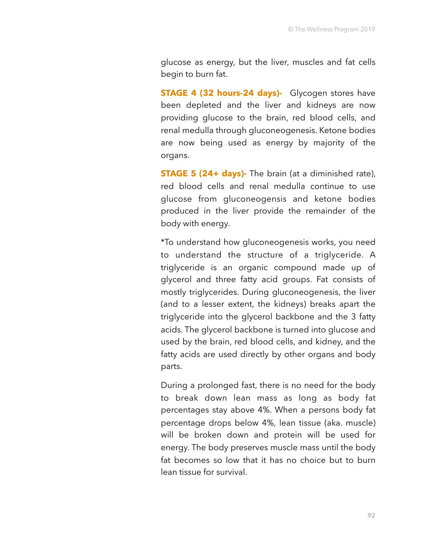glucose as energy, but the liver, muscles and fat cells begin to burn fat.

**STAGE 4 (32 hours-24 days)-** Glycogen stores have been depleted and the liver and kidneys are now providing glucose to the brain, red blood cells, and renal medulla through gluconeogenesis. Ketone bodies are now being used as energy by majority of the organs.

**STAGE 5 (24+ days)**- The brain (at a diminished rate), red blood cells and renal medulla continue to use glucose from gluconeogensis and ketone bodies produced in the liver provide the remainder of the body with energy.

\*To understand how gluconeogenesis works, you need to understand the structure of a triglyceride. A triglyceride is an organic compound made up of glycerol and three fatty acid groups. Fat consists of mostly triglycerides. During gluconeogenesis, the liver (and to a lesser extent, the kidneys) breaks apart the triglyceride into the glycerol backbone and the 3 fatty acids. The glycerol backbone is turned into glucose and used by the brain, red blood cells, and kidney, and the fatty acids are used directly by other organs and body parts.

During a prolonged fast, there is no need for the body to break down lean mass as long as body fat percentages stay above 4%. When a persons body fat percentage drops below 4%, lean tissue (aka. muscle) will be broken down and protein will be used for energy. The body preserves muscle mass until the body fat becomes so low that it has no choice but to burn lean tissue for survival.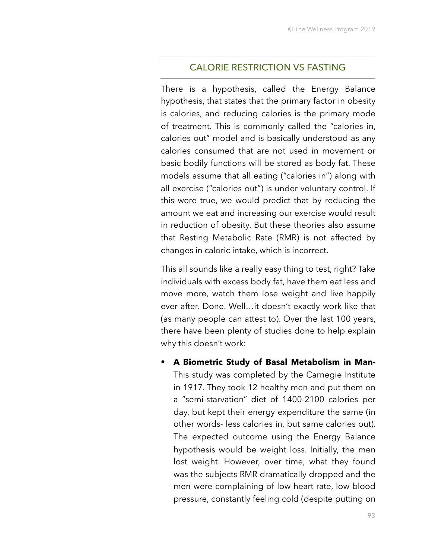#### CALORIE RESTRICTION VS FASTING

There is a hypothesis, called the Energy Balance hypothesis, that states that the primary factor in obesity is calories, and reducing calories is the primary mode of treatment. This is commonly called the "calories in, calories out" model and is basically understood as any calories consumed that are not used in movement or basic bodily functions will be stored as body fat. These models assume that all eating ("calories in") along with all exercise ("calories out") is under voluntary control. If this were true, we would predict that by reducing the amount we eat and increasing our exercise would result in reduction of obesity. But these theories also assume that Resting Metabolic Rate (RMR) is not affected by changes in caloric intake, which is incorrect.

This all sounds like a really easy thing to test, right? Take individuals with excess body fat, have them eat less and move more, watch them lose weight and live happily ever after. Done. Well…it doesn't exactly work like that (as many people can attest to). Over the last 100 years, there have been plenty of studies done to help explain why this doesn't work:

• **A Biometric Study of Basal Metabolism in Man-**This study was completed by the Carnegie Institute in 1917. They took 12 healthy men and put them on a "semi-starvation" diet of 1400-2100 calories per day, but kept their energy expenditure the same (in other words- less calories in, but same calories out). The expected outcome using the Energy Balance hypothesis would be weight loss. Initially, the men lost weight. However, over time, what they found was the subjects RMR dramatically dropped and the men were complaining of low heart rate, low blood pressure, constantly feeling cold (despite putting on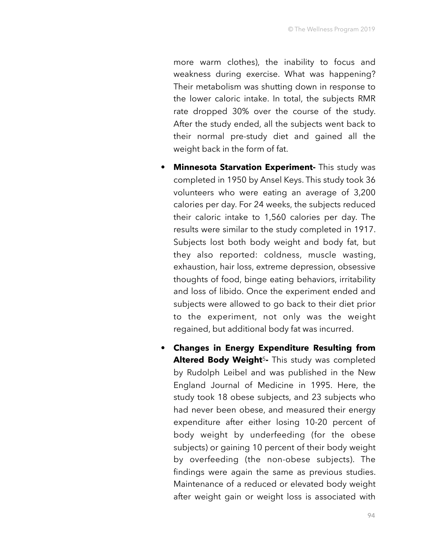more warm clothes), the inability to focus and weakness during exercise. What was happening? Their metabolism was shutting down in response to the lower caloric intake. In total, the subjects RMR rate dropped 30% over the course of the study. After the study ended, all the subjects went back to their normal pre-study diet and gained all the weight back in the form of fat.

- **Minnesota Starvation Experiment-** This study was completed in 1950 by Ansel Keys. This study took 36 volunteers who were eating an average of 3,200 calories per day. For 24 weeks, the subjects reduced their caloric intake to 1,560 calories per day. The results were similar to the study completed in 1917. Subjects lost both body weight and body fat, but they also reported: coldness, muscle wasting, exhaustion, hair loss, extreme depression, obsessive thoughts of food, binge eating behaviors, irritability and loss of libido. Once the experiment ended and subjects were allowed to go back to their diet prior to the experiment, not only was the weight regained, but additional body fat was incurred.
- **Changes in Energy Expenditure Resulting from Altered Body Weight**5**-** This study was completed by Rudolph Leibel and was published in the New England Journal of Medicine in 1995. Here, the study took 18 obese subjects, and 23 subjects who had never been obese, and measured their energy expenditure after either losing 10-20 percent of body weight by underfeeding (for the obese subjects) or gaining 10 percent of their body weight by overfeeding (the non-obese subjects). The findings were again the same as previous studies. Maintenance of a reduced or elevated body weight after weight gain or weight loss is associated with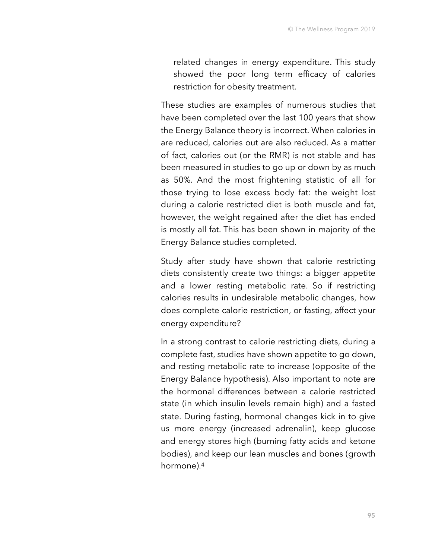related changes in energy expenditure. This study showed the poor long term efficacy of calories restriction for obesity treatment.

These studies are examples of numerous studies that have been completed over the last 100 years that show the Energy Balance theory is incorrect. When calories in are reduced, calories out are also reduced. As a matter of fact, calories out (or the RMR) is not stable and has been measured in studies to go up or down by as much as 50%. And the most frightening statistic of all for those trying to lose excess body fat: the weight lost during a calorie restricted diet is both muscle and fat, however, the weight regained after the diet has ended is mostly all fat. This has been shown in majority of the Energy Balance studies completed.

Study after study have shown that calorie restricting diets consistently create two things: a bigger appetite and a lower resting metabolic rate. So if restricting calories results in undesirable metabolic changes, how does complete calorie restriction, or fasting, affect your energy expenditure?

In a strong contrast to calorie restricting diets, during a complete fast, studies have shown appetite to go down, and resting metabolic rate to increase (opposite of the Energy Balance hypothesis). Also important to note are the hormonal differences between a calorie restricted state (in which insulin levels remain high) and a fasted state. During fasting, hormonal changes kick in to give us more energy (increased adrenalin), keep glucose and energy stores high (burning fatty acids and ketone bodies), and keep our lean muscles and bones (growth hormone).4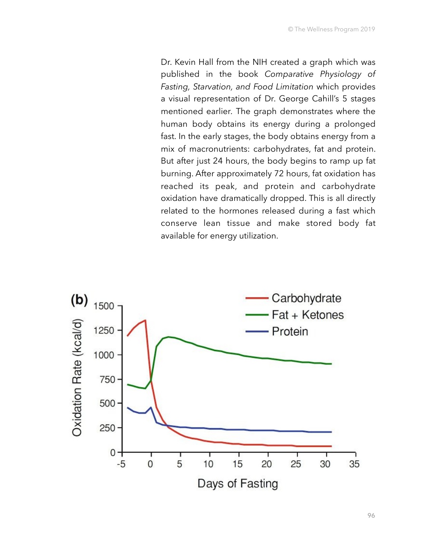Dr. Kevin Hall from the NIH created a graph which was published in the book *Comparative Physiology of Fasting, Starvation, and Food Limitation* which provides a visual representation of Dr. George Cahill's 5 stages mentioned earlier*.* The graph demonstrates where the human body obtains its energy during a prolonged fast. In the early stages, the body obtains energy from a mix of macronutrients: carbohydrates, fat and protein. But after just 24 hours, the body begins to ramp up fat burning. After approximately 72 hours, fat oxidation has reached its peak, and protein and carbohydrate oxidation have dramatically dropped. This is all directly related to the hormones released during a fast which conserve lean tissue and make stored body fat available for energy utilization.

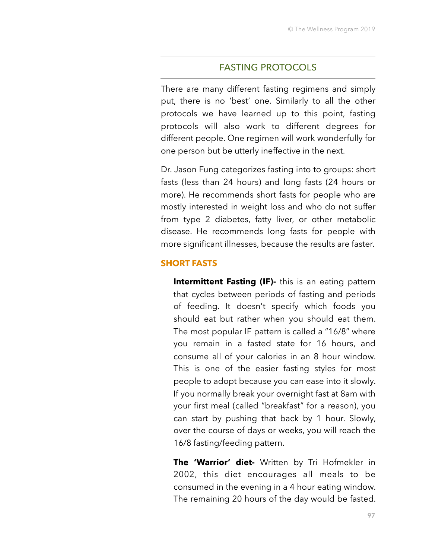#### FASTING PROTOCOLS

There are many different fasting regimens and simply put, there is no 'best' one. Similarly to all the other protocols we have learned up to this point, fasting protocols will also work to different degrees for different people. One regimen will work wonderfully for one person but be utterly ineffective in the next.

Dr. Jason Fung categorizes fasting into to groups: short fasts (less than 24 hours) and long fasts (24 hours or more). He recommends short fasts for people who are mostly interested in weight loss and who do not suffer from type 2 diabetes, fatty liver, or other metabolic disease. He recommends long fasts for people with more significant illnesses, because the results are faster.

#### **SHORT FASTS**

**Intermittent Fasting (IF)-** this is an eating pattern that cycles between periods of fasting and periods of feeding. It doesn't specify which foods you should eat but rather when you should eat them. The most popular IF pattern is called a "16/8" where you remain in a fasted state for 16 hours, and consume all of your calories in an 8 hour window. This is one of the easier fasting styles for most people to adopt because you can ease into it slowly. If you normally break your overnight fast at 8am with your first meal (called "breakfast" for a reason), you can start by pushing that back by 1 hour. Slowly, over the course of days or weeks, you will reach the 16/8 fasting/feeding pattern.

**The 'Warrior' diet-** Written by Tri Hofmekler in 2002, this diet encourages all meals to be consumed in the evening in a 4 hour eating window. The remaining 20 hours of the day would be fasted.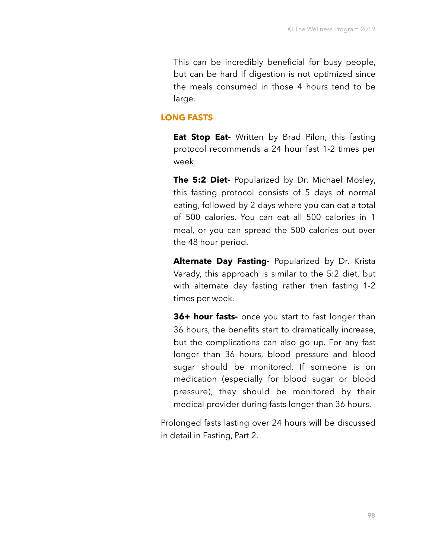This can be incredibly beneficial for busy people, but can be hard if digestion is not optimized since the meals consumed in those 4 hours tend to be large.

#### **LONG FASTS**

**Eat Stop Eat-** Written by Brad Pilon, this fasting protocol recommends a 24 hour fast 1-2 times per week.

**The 5:2 Diet-** Popularized by Dr. Michael Mosley, this fasting protocol consists of 5 days of normal eating, followed by 2 days where you can eat a total of 500 calories. You can eat all 500 calories in 1 meal, or you can spread the 500 calories out over the 48 hour period.

**Alternate Day Fasting-** Popularized by Dr. Krista Varady, this approach is similar to the 5:2 diet, but with alternate day fasting rather then fasting 1-2 times per week.

**36+ hour fasts-** once you start to fast longer than 36 hours, the benefits start to dramatically increase, but the complications can also go up. For any fast longer than 36 hours, blood pressure and blood sugar should be monitored. If someone is on medication (especially for blood sugar or blood pressure), they should be monitored by their medical provider during fasts longer than 36 hours.

Prolonged fasts lasting over 24 hours will be discussed in detail in Fasting, Part 2.